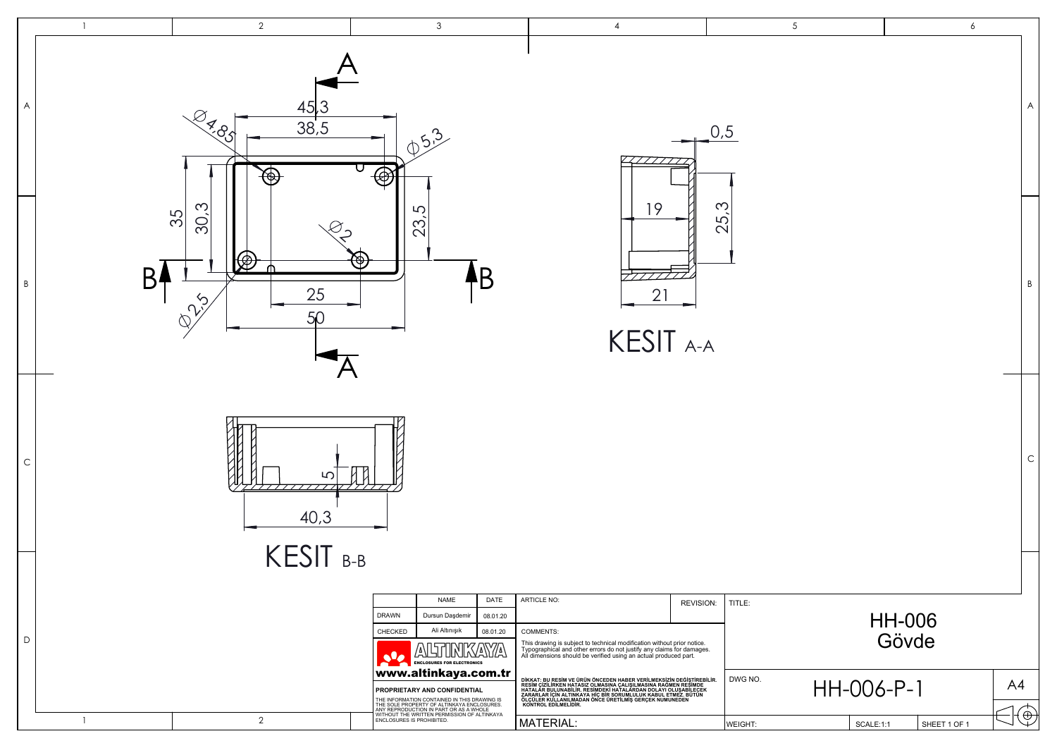